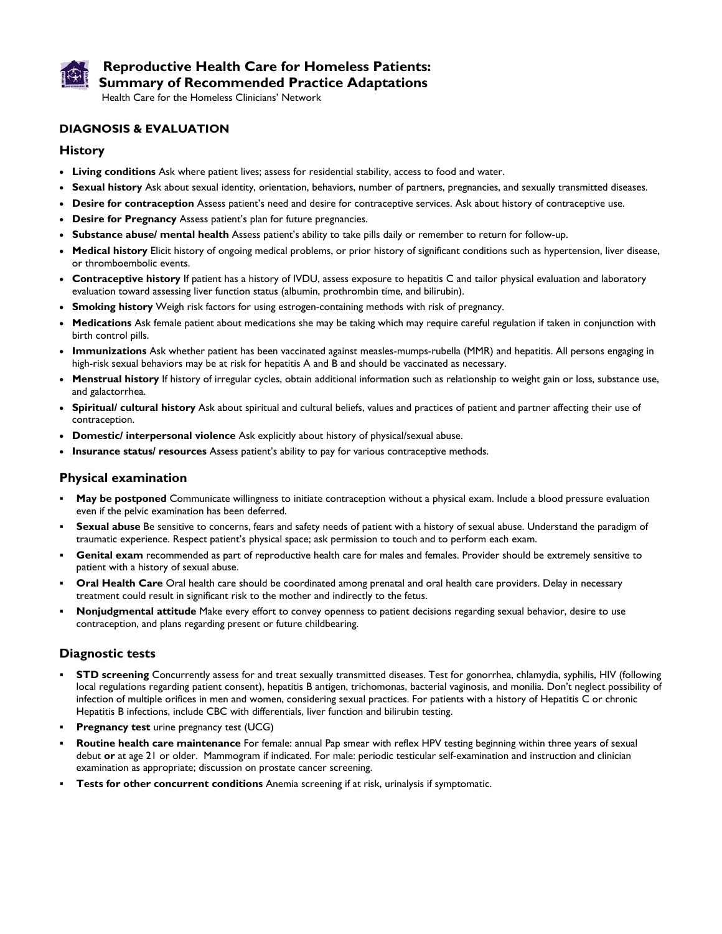

# **Reproductive Health Care for Homeless Patients: Summary of Recommended Practice Adaptations**

Health Care for the Homeless Clinicians' Network

## **DIAGNOSIS & EVALUATION**

### **History**

- **Living conditions** Ask where patient lives; assess for residential stability, access to food and water.
- **Sexual history** Ask about sexual identity, orientation, behaviors, number of partners, pregnancies, and sexually transmitted diseases.
- **Desire for contraception** Assess patient's need and desire for contraceptive services. Ask about history of contraceptive use.
- **Desire for Pregnancy** Assess patient's plan for future pregnancies.
- **Substance abuse/ mental health** Assess patient's ability to take pills daily or remember to return for follow-up.
- **Medical history** Elicit history of ongoing medical problems, or prior history of significant conditions such as hypertension, liver disease, or thromboembolic events.
- **Contraceptive history** If patient has a history of IVDU, assess exposure to hepatitis C and tailor physical evaluation and laboratory evaluation toward assessing liver function status (albumin, prothrombin time, and bilirubin).
- **Smoking history** Weigh risk factors for using estrogen-containing methods with risk of pregnancy.
- **Medications** Ask female patient about medications she may be taking which may require careful regulation if taken in conjunction with birth control pills.
- **Immunizations** Ask whether patient has been vaccinated against measles-mumps-rubella (MMR) and hepatitis. All persons engaging in high-risk sexual behaviors may be at risk for hepatitis A and B and should be vaccinated as necessary.
- **Menstrual history** If history of irregular cycles, obtain additional information such as relationship to weight gain or loss, substance use, and galactorrhea.
- **Spiritual/ cultural history** Ask about spiritual and cultural beliefs, values and practices of patient and partner affecting their use of contraception.
- **Domestic/ interpersonal violence** Ask explicitly about history of physical/sexual abuse.
- **Insurance status/ resources** Assess patient's ability to pay for various contraceptive methods.

### **Physical examination**

- **May be postponed** Communicate willingness to initiate contraception without a physical exam. Include a blood pressure evaluation even if the pelvic examination has been deferred.
- **Sexual abuse** Be sensitive to concerns, fears and safety needs of patient with a history of sexual abuse. Understand the paradigm of traumatic experience. Respect patient's physical space; ask permission to touch and to perform each exam.
- **Genital exam** recommended as part of reproductive health care for males and females. Provider should be extremely sensitive to patient with a history of sexual abuse.
- **Oral Health Care** Oral health care should be coordinated among prenatal and oral health care providers. Delay in necessary treatment could result in significant risk to the mother and indirectly to the fetus.
- **Nonjudgmental attitude** Make every effort to convey openness to patient decisions regarding sexual behavior, desire to use contraception, and plans regarding present or future childbearing.

## **Diagnostic tests**

- **STD screening** Concurrently assess for and treat sexually transmitted diseases. Test for gonorrhea, chlamydia, syphilis, HIV (following local regulations regarding patient consent), hepatitis B antigen, trichomonas, bacterial vaginosis, and monilia. Don't neglect possibility of infection of multiple orifices in men and women, considering sexual practices. For patients with a history of Hepatitis C or chronic Hepatitis B infections, include CBC with differentials, liver function and bilirubin testing.
- **Pregnancy test** urine pregnancy test (UCG)
- **Routine health care maintenance** For female: annual Pap smear with reflex HPV testing beginning within three years of sexual debut **or** at age 21 or older. Mammogram if indicated. For male: periodic testicular self-examination and instruction and clinician examination as appropriate; discussion on prostate cancer screening.
- **Tests for other concurrent conditions** Anemia screening if at risk, urinalysis if symptomatic.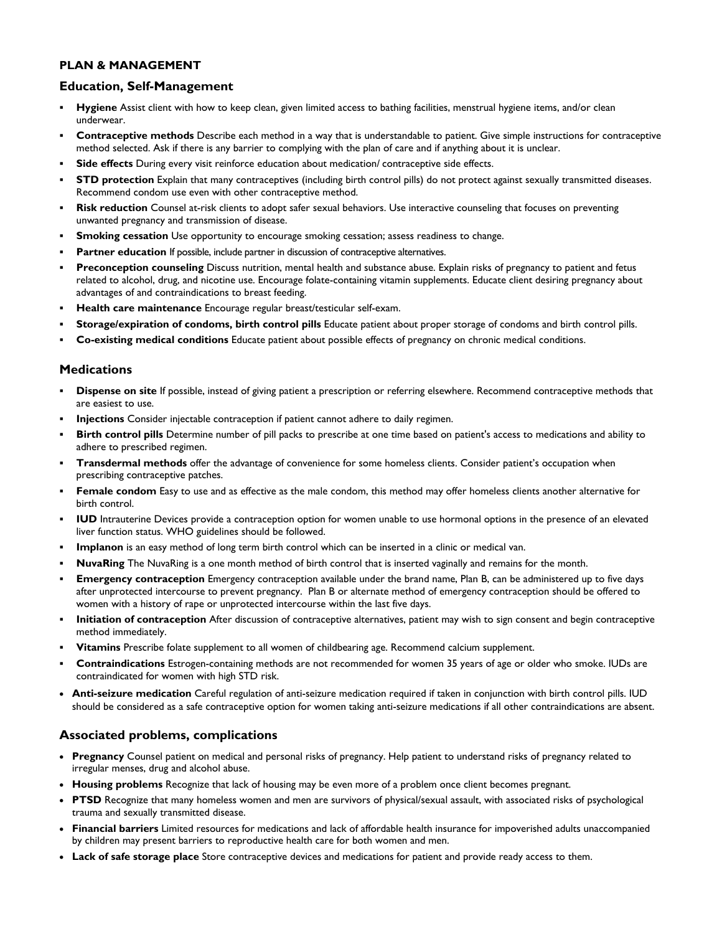### **PLAN & MANAGEMENT**

## **Education, Self-Management**

- **Hygiene** Assist client with how to keep clean, given limited access to bathing facilities, menstrual hygiene items, and/or clean underwear.
- **Contraceptive methods** Describe each method in a way that is understandable to patient. Give simple instructions for contraceptive method selected. Ask if there is any barrier to complying with the plan of care and if anything about it is unclear.
- **Side effects** During every visit reinforce education about medication/ contraceptive side effects.
- **STD protection** Explain that many contraceptives (including birth control pills) do not protect against sexually transmitted diseases. Recommend condom use even with other contraceptive method.
- **Risk reduction** Counsel at-risk clients to adopt safer sexual behaviors. Use interactive counseling that focuses on preventing unwanted pregnancy and transmission of disease.
- **Smoking cessation** Use opportunity to encourage smoking cessation; assess readiness to change.
- Partner education If possible, include partner in discussion of contraceptive alternatives.
- **Preconception counseling** Discuss nutrition, mental health and substance abuse. Explain risks of pregnancy to patient and fetus related to alcohol, drug, and nicotine use. Encourage folate-containing vitamin supplements. Educate client desiring pregnancy about advantages of and contraindications to breast feeding.
- **Health care maintenance** Encourage regular breast/testicular self-exam.
- **Storage/expiration of condoms, birth control pills** Educate patient about proper storage of condoms and birth control pills.
- **Co-existing medical conditions** Educate patient about possible effects of pregnancy on chronic medical conditions.

### **Medications**

- **Dispense on site** If possible, instead of giving patient a prescription or referring elsewhere. Recommend contraceptive methods that are easiest to use.
- **Injections** Consider injectable contraception if patient cannot adhere to daily regimen.
- **Birth control pills** Determine number of pill packs to prescribe at one time based on patient's access to medications and ability to adhere to prescribed regimen.
- **Transdermal methods** offer the advantage of convenience for some homeless clients. Consider patient's occupation when prescribing contraceptive patches.
- **Female condom** Easy to use and as effective as the male condom, this method may offer homeless clients another alternative for birth control.
- **IUD** Intrauterine Devices provide a contraception option for women unable to use hormonal options in the presence of an elevated liver function status. WHO guidelines should be followed.
- **Implanon** is an easy method of long term birth control which can be inserted in a clinic or medical van.
- **NuvaRing** The NuvaRing is a one month method of birth control that is inserted vaginally and remains for the month.
- **Emergency contraception** Emergency contraception available under the brand name, Plan B, can be administered up to five days after unprotected intercourse to prevent pregnancy. Plan B or alternate method of emergency contraception should be offered to women with a history of rape or unprotected intercourse within the last five days.
- **Initiation of contraception** After discussion of contraceptive alternatives, patient may wish to sign consent and begin contraceptive method immediately.
- **Vitamins** Prescribe folate supplement to all women of childbearing age. Recommend calcium supplement.
- **Contraindications** Estrogen-containing methods are not recommended for women 35 years of age or older who smoke. IUDs are contraindicated for women with high STD risk.
- **Anti-seizure medication** Careful regulation of anti-seizure medication required if taken in conjunction with birth control pills. IUD should be considered as a safe contraceptive option for women taking anti-seizure medications if all other contraindications are absent.

### **Associated problems, complications**

- **Pregnancy** Counsel patient on medical and personal risks of pregnancy. Help patient to understand risks of pregnancy related to irregular menses, drug and alcohol abuse.
- **Housing problems** Recognize that lack of housing may be even more of a problem once client becomes pregnant.
- **PTSD** Recognize that many homeless women and men are survivors of physical/sexual assault, with associated risks of psychological trauma and sexually transmitted disease.
- **Financial barriers** Limited resources for medications and lack of affordable health insurance for impoverished adults unaccompanied by children may present barriers to reproductive health care for both women and men.
- **Lack of safe storage place** Store contraceptive devices and medications for patient and provide ready access to them.